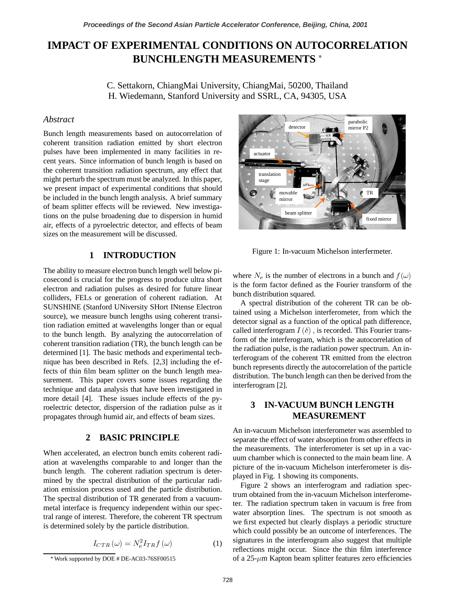# **IMPACT OF EXPERIMENTAL CONDITIONS ON AUTOCORRELATION BUNCHLENGTH MEASUREMENTS**

C. Settakorn, ChiangMai University, ChiangMai, 50200, Thailand H. Wiedemann, Stanford University and SSRL, CA, 94305, USA

### *Abstract*

Bunch length measurements based on autocorrelation of coherent transition radiation emitted by short electron pulses have been implemented in many facilities in recent years. Since information of bunch length is based on the coherent transition radiation spectrum, any effect that might perturb the spectrum must be analyzed. In this paper, we present impact of experimental conditions that should be included in the bunch length analysis. A brief summary of beam splitter effects will be reviewed. New investigations on the pulse broadening due to dispersion in humid air, effects of a pyroelectric detector, and effects of beam sizes on the measurement will be discussed.

# **1 INTRODUCTION**

The ability to measure electron bunch length well below picosecond is crucial for the progress to produce ultra short electron and radiation pulses as desired for future linear colliders, FELs or generation of coherent radiation. At SUNSHINE (Stanford UNiversity SHort INtense Electron source), we measure bunch lengths using coherent transition radiation emitted at wavelengths longer than or equal to the bunch length. By analyzing the autocorrelation of coherent transition radiation (TR), the bunch length can be determined [1]. The basic methods and experimental technique has been described in Refs. [2,3] including the effects of thin film beam splitter on the bunch length measurement. This paper covers some issues regarding the technique and data analysis that have been investigated in more detail [4]. These issues include effects of the pyroelectric detector, dispersion of the radiation pulse as it propagates through humid air, and effects of beam sizes.

## **2 BASIC PRINCIPLE**

When accelerated, an electron bunch emits coherent radiation at wavelengths comparable to and longer than the bunch length. The coherent radiation spectrum is determined by the spectral distribution of the particular radiation emission process used and the particle distribution. The spectral distribution of TR generated from a vacuummetal interface is frequency independent within our spectral range of interest. Therefore, the coherent TR spectrum is determined solely by the particle distribution.

$$
I_{CTR} \left( \omega \right) = N_e^2 I_{TR} f \left( \omega \right) \tag{1}
$$



Figure 1: In-vacuum Michelson interfermeter.

where  $N_e$  is the number of electrons in a bunch and  $f(\omega)$ is the form factor defined as the Fourier transform of the bunch distribution squared.

A spectral distribution of the coherent TR can be obtained using a Michelson interferometer, from which the detector signal as a function of the optical path difference, called interferogram  $I(\delta)$ , is recorded. This Fourier transform of the interferogram, which is the autocorrelation of the radiation pulse, is the radiation power spectrum. An interferogram of the coherent TR emitted from the electron bunch represents directly the autocorrelation of the particle distribution. The bunch length can then be derived from the interferogram [2].

# **3 IN-VACUUM BUNCH LENGTH MEASUREMENT**

An in-vacuum Michelson interferometer was assembled to separate the effect of water absorption from other effects in the measurements. The interferometer is set up in a vacuum chamber which is connected to the main beam line. A picture of the in-vacuum Michelson interferometer is displayed in Fig. 1 showing its components.

Figure 2 shows an interferogram and radiation spectrum obtained from the in-vacuum Michelson interferometer. The radiation spectrum taken in vacuum is free from water absorption lines. The spectrum is not smooth as we first expected but clearly displays a periodic structure which could possibly be an outcome of interferences. The signatures in the interferogram also suggest that multiple reflections might occur. Since the thin film interference of a  $25$ - $\mu$ m Kapton beam splitter features zero efficiencies

<sup>W</sup>Work supported by DOE # DE-AC03-76SF00515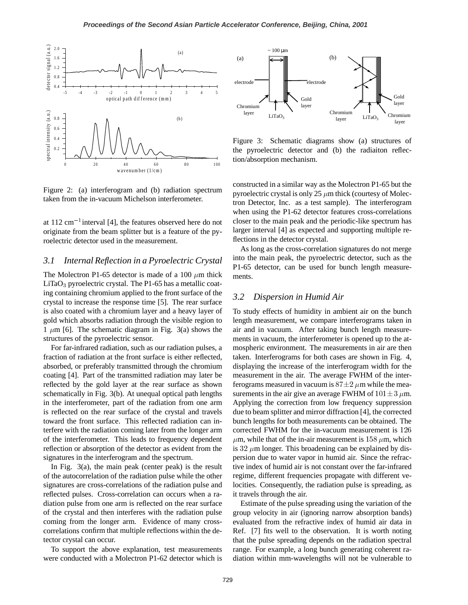

Figure 2: (a) interferogram and (b) radiation spectrum taken from the in-vacuum Michelson interferometer.

at  $112 \text{ cm}^{-1}$  interval [4], the features observed here do not originate from the beam splitter but is a feature of the pyroelectric detector used in the measurement.

# 3.1 Internal Reflection in a Pyroelectric Crystal

The Molectron P1-65 detector is made of a 100  $\mu$ m thick LiTaO<sub>3</sub> pyroelectric crystal. The P1-65 has a metallic coating containing chromium applied to the front surface of the crystal to increase the response time [5]. The rear surface is also coated with a chromium layer and a heavy layer of gold which absorbs radiation through the visible region to 1  $\mu$ m [6]. The schematic diagram in Fig. 3(a) shows the structures of the pyroelectric sensor.

For far-infrared radiation, such as our radiation pulses, a fraction of radiation at the front surface is either reflected, absorbed, or preferably transmitted through the chromium coating [4]. Part of the transmitted radiation may later be reflected by the gold layer at the rear surface as shown schematically in Fig. 3(b). At unequal optical path lengths in the interferometer, part of the radiation from one arm is reflected on the rear surface of the crystal and travels toward the front surface. This reflected radiation can interfere with the radiation coming later from the longer arm of the interferometer. This leads to frequency dependent reflection or absorption of the detector as evident from the signatures in the interferogram and the spectrum.

In Fig. 3(a), the main peak (center peak) is the result of the autocorrelation of the radiation pulse while the other signatures are cross-correlations of the radiation pulse and reflected pulses. Cross-correlation can occurs when a radiation pulse from one arm is reflected on the rear surface of the crystal and then interferes with the radiation pulse coming from the longer arm. Evidence of many crosscorrelations confirm that multiple reflections within the detector crystal can occur.

To support the above explanation, test measurements were conducted with a Molectron P1-62 detector which is



Figure 3: Schematic diagrams show (a) structures of the pyroelectric detector and (b) the radiaiton reflection/absorption mechanism.

constructed in a similar way as the Molectron P1-65 but the pyroelectric crystal is only 25  $\mu$ m thick (courtesy of Molectron Detector, Inc. as a test sample). The interferogram when using the P1-62 detector features cross-correlations closer to the main peak and the periodic-like spectrum has larger interval [4] as expected and supporting multiple reflections in the detector crystal.

As long as the cross-correlation signatures do not merge into the main peak, the pyroelectric detector, such as the P1-65 detector, can be used for bunch length measurements.

### *3.2 Dispersion in Humid Air*

To study effects of humidity in ambient air on the bunch length measurement, we compare interferograms taken in air and in vacuum. After taking bunch length measurements in vacuum, the interferometer is opened up to the atmospheric environment. The measurements in air are then taken. Interferograms for both cases are shown in Fig. 4, displaying the increase of the interferogram width for the measurement in the air. The average FWHM of the interferograms measured in vacuum is  $87 \pm 2 \ \mu m$  while the measurements in the air give an average FWHM of  $101 \pm 3 \mu$ m. Applying the correction from low frequency suppression due to beam splitter and mirror diffraction [4], the corrected bunch lengths for both measurements can be obtained. The corrected FWHM for the in-vacuum measurement is 126  $\mu$ m, while that of the in-air measurement is 158  $\mu$ m, which is 32  $\mu$ m longer. This broadening can be explained by dispersion due to water vapor in humid air. Since the refractive index of humid air is not constant over the far-infrared regime, different frequencies propagate with different velocities. Consequently, the radiation pulse is spreading, as it travels through the air.

Estimate of the pulse spreading using the variation of the group velocity in air (ignoring narrow absorption bands) evaluated from the refractive index of humid air data in Ref. [7] fits well to the observation. It is worth noting that the pulse spreading depends on the radiation spectral range. For example, a long bunch generating coherent radiation within mm-wavelengths will not be vulnerable to